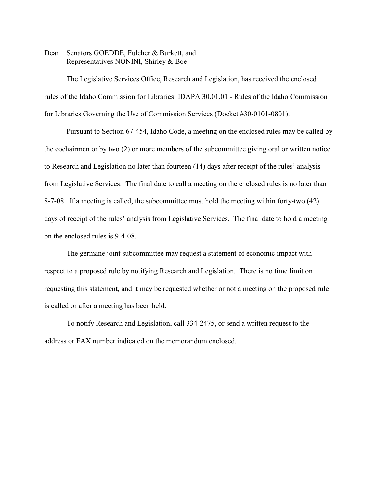Dear Senators GOEDDE, Fulcher & Burkett, and Representatives NONINI, Shirley & Boe:

The Legislative Services Office, Research and Legislation, has received the enclosed rules of the Idaho Commission for Libraries: IDAPA 30.01.01 - Rules of the Idaho Commission for Libraries Governing the Use of Commission Services (Docket #30-0101-0801).

Pursuant to Section 67-454, Idaho Code, a meeting on the enclosed rules may be called by the cochairmen or by two (2) or more members of the subcommittee giving oral or written notice to Research and Legislation no later than fourteen (14) days after receipt of the rules' analysis from Legislative Services. The final date to call a meeting on the enclosed rules is no later than 8-7-08. If a meeting is called, the subcommittee must hold the meeting within forty-two (42) days of receipt of the rules' analysis from Legislative Services. The final date to hold a meeting on the enclosed rules is 9-4-08.

The germane joint subcommittee may request a statement of economic impact with respect to a proposed rule by notifying Research and Legislation. There is no time limit on requesting this statement, and it may be requested whether or not a meeting on the proposed rule is called or after a meeting has been held.

To notify Research and Legislation, call 334-2475, or send a written request to the address or FAX number indicated on the memorandum enclosed.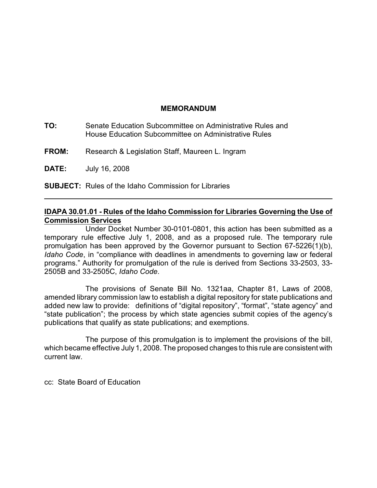## **MEMORANDUM**

- **TO:** Senate Education Subcommittee on Administrative Rules and House Education Subcommittee on Administrative Rules
- **FROM:** Research & Legislation Staff, Maureen L. Ingram

**DATE:** July 16, 2008

**SUBJECT:** Rules of the Idaho Commission for Libraries

# **IDAPA 30.01.01 - Rules of the Idaho Commission for Libraries Governing the Use of Commission Services**

Under Docket Number 30-0101-0801, this action has been submitted as a temporary rule effective July 1, 2008, and as a proposed rule. The temporary rule promulgation has been approved by the Governor pursuant to Section 67-5226(1)(b), *Idaho Code*, in "compliance with deadlines in amendments to governing law or federal programs." Authority for promulgation of the rule is derived from Sections 33-2503, 33- 2505B and 33-2505C, *Idaho Code*.

The provisions of Senate Bill No. 1321aa, Chapter 81, Laws of 2008, amended library commission law to establish a digital repository for state publications and added new law to provide: definitions of "digital repository", "format", "state agency" and "state publication"; the process by which state agencies submit copies of the agency's publications that qualify as state publications; and exemptions.

The purpose of this promulgation is to implement the provisions of the bill, which became effective July 1, 2008. The proposed changes to this rule are consistent with current law.

cc: State Board of Education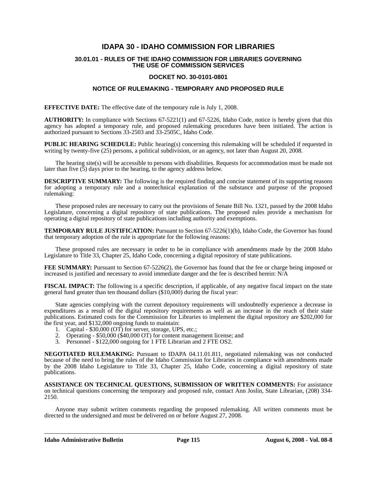### **IDAPA 30 - IDAHO COMMISSION FOR LIBRARIES**

#### **30.01.01 - RULES OF THE IDAHO COMMISSION FOR LIBRARIES GOVERNING THE USE OF COMMISSION SERVICES**

#### **DOCKET NO. 30-0101-0801**

#### **NOTICE OF RULEMAKING - TEMPORARY AND PROPOSED RULE**

**EFFECTIVE DATE:** The effective date of the temporary rule is July 1, 2008.

**AUTHORITY:** In compliance with Sections 67-5221(1) and 67-5226, Idaho Code, notice is hereby given that this agency has adopted a temporary rule, and proposed rulemaking procedures have been initiated. The action is authorized pursuant to Sections 33-2503 and 33-2505C, Idaho Code.

**PUBLIC HEARING SCHEDULE:** Public hearing(s) concerning this rulemaking will be scheduled if requested in writing by twenty-five (25) persons, a political subdivision, or an agency, not later than August 20, 2008.

The hearing site(s) will be accessible to persons with disabilities. Requests for accommodation must be made not later than five  $(5)$  days prior to the hearing, to the agency address below.

**DESCRIPTIVE SUMMARY:** The following is the required finding and concise statement of its supporting reasons for adopting a temporary rule and a nontechnical explanation of the substance and purpose of the proposed rulemaking:

These proposed rules are necessary to carry out the provisions of Senate Bill No. 1321, passed by the 2008 Idaho Legislature, concerning a digital repository of state publications. The proposed rules provide a mechanism for operating a digital repository of state publications including authority and exemptions.

**TEMPORARY RULE JUSTIFICATION:** Pursuant to Section 67-5226(1)(b), Idaho Code, the Governor has found that temporary adoption of the rule is appropriate for the following reasons:

These proposed rules are necessary in order to be in compliance with amendments made by the 2008 Idaho Legislature to Title 33, Chapter 25, Idaho Code, concerning a digital repository of state publications.

**FEE SUMMARY:** Pursuant to Section 67-5226(2), the Governor has found that the fee or charge being imposed or increased is justified and necessary to avoid immediate danger and the fee is described herein: N/A

**FISCAL IMPACT:** The following is a specific description, if applicable, of any negative fiscal impact on the state general fund greater than ten thousand dollars (\$10,000) during the fiscal year:

State agencies complying with the current depository requirements will undoubtedly experience a decrease in expenditures as a result of the digital repository requirements as well as an increase in the reach of their state publications. Estimated costs for the Commission for Libraries to implement the digital repository are \$202,000 for the first year, and \$132,000 ongoing funds to maintain:

- 1. Capital \$30,000 (OT) for server, storage, UPS, etc.;
- 2. Operating \$50,000 (\$40,000 OT) for content management license; and
- 3. Personnel \$122,000 ongoing for 1 FTE Librarian and 2 FTE OS2.

**NEGOTIATED RULEMAKING:** Pursuant to IDAPA 04.11.01.811, negotiated rulemaking was not conducted because of the need to bring the rules of the Idaho Commission for Libraries in compliance with amendments made by the 2008 Idaho Legislature to Title 33, Chapter 25, Idaho Code, concerning a digital repository of state publications.

**ASSISTANCE ON TECHNICAL QUESTIONS, SUBMISSION OF WRITTEN COMMENTS:** For assistance on technical questions concerning the temporary and proposed rule, contact Ann Joslin, State Librarian, (208) 334- 2150*.*

Anyone may submit written comments regarding the proposed rulemaking. All written comments must be directed to the undersigned and must be delivered on or before August 27, 2008.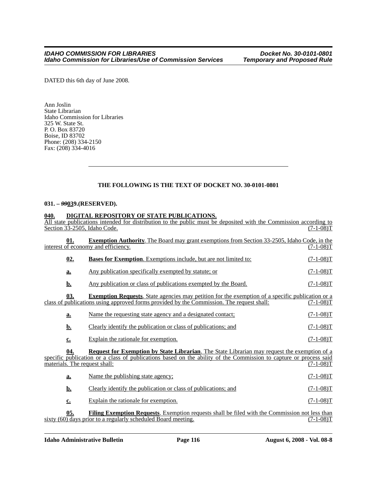DATED this 6th day of June 2008.

Ann Joslin State Librarian Idaho Commission for Libraries 325 W. State St. P. O. Box 83720 Boise, ID 83702 Phone: (208) 334-2150 Fax: (208) 334-4016

### **THE FOLLOWING IS THE TEXT OF DOCKET NO. 30-0101-0801**

#### **031. –** *99***039.(RESERVED).**

#### **040. DIGITAL REPOSITORY OF STATE PUBLICATIONS.**

| All state publications intended for distribution to the public must be deposited with the Commission according to<br>Section 33-2505. Idaho Code. |                                                                                                                                                                                                                           | $(7-1-08)T$ |
|---------------------------------------------------------------------------------------------------------------------------------------------------|---------------------------------------------------------------------------------------------------------------------------------------------------------------------------------------------------------------------------|-------------|
| 01.                                                                                                                                               | <b>Exemption Authority.</b> The Board may grant exemptions from Section 33-2505, Idaho Code, in the<br>interest of economy and efficiency.                                                                                | (7-1-08)T   |
| 02.                                                                                                                                               | <b>Bases for Exemption.</b> Exemptions include, but are not limited to:                                                                                                                                                   | $(7-1-08)T$ |
| a.                                                                                                                                                | Any publication specifically exempted by statute; or                                                                                                                                                                      | $(7-1-08)T$ |
| <u>b.</u>                                                                                                                                         | Any publication or class of publications exempted by the Board.                                                                                                                                                           | $(7-1-08)T$ |
| 03.                                                                                                                                               | <b>Exemption Requests.</b> State agencies may petition for the exemption of a specific publication or a<br>class of publications using approved forms provided by the Commission. The request shall:                      | (7-1-08)T   |
| a.                                                                                                                                                | Name the requesting state agency and a designated contact;                                                                                                                                                                | $(7-1-08)T$ |
| <u>b.</u>                                                                                                                                         | Clearly identify the publication or class of publications; and                                                                                                                                                            | $(7-1-08)T$ |
| $c_{\cdot}$                                                                                                                                       | Explain the rationale for exemption.                                                                                                                                                                                      | $(7-1-08)T$ |
| 04.<br>materials. The request shall:                                                                                                              | <b>Request for Exemption by State Librarian</b> . The State Librarian may request the exemption of a<br>specific publication or a class of publications based on the ability of the Commission to capture or process said | $(7-1-08)T$ |
| a.                                                                                                                                                | Name the publishing state agency;                                                                                                                                                                                         | $(7-1-08)T$ |
| <u>b.</u>                                                                                                                                         | Clearly identify the publication or class of publications; and                                                                                                                                                            | $(7-1-08)T$ |
| $c_{\cdot}$                                                                                                                                       | Explain the rationale for exemption.                                                                                                                                                                                      | $(7-1-08)T$ |
| 05.                                                                                                                                               | Filing Exemption Requests. Exemption requests shall be filed with the Commission not less than<br>sixty (60) days prior to a regularly scheduled Board meeting.                                                           | $(7-1-08)T$ |